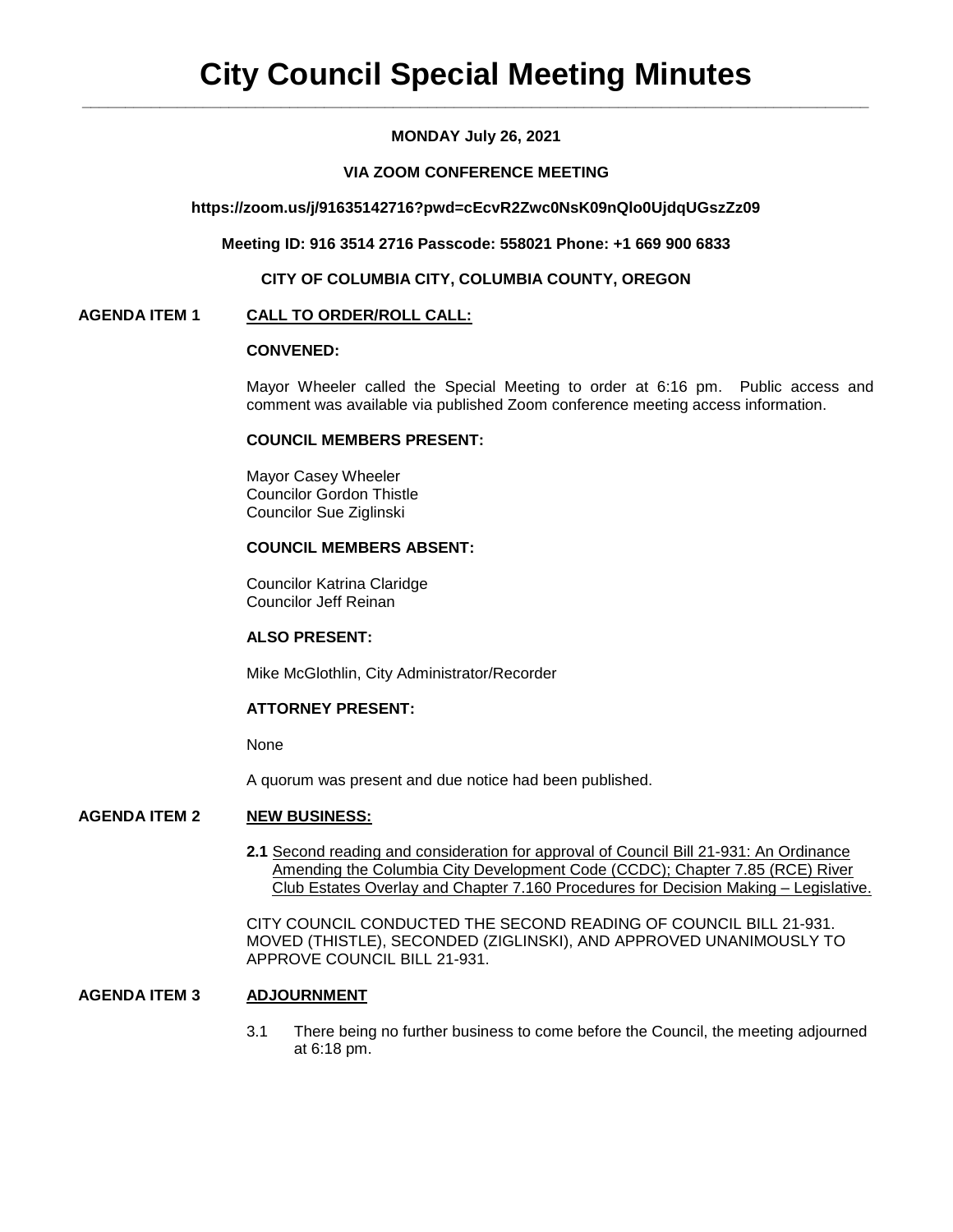# **MONDAY July 26, 2021**

## **VIA ZOOM CONFERENCE MEETING**

### **https://zoom.us/j/91635142716?pwd=cEcvR2Zwc0NsK09nQlo0UjdqUGszZz09**

**Meeting ID: 916 3514 2716 Passcode: 558021 Phone: +1 669 900 6833**

**CITY OF COLUMBIA CITY, COLUMBIA COUNTY, OREGON**

## **AGENDA ITEM 1 CALL TO ORDER/ROLL CALL:**

# **CONVENED:**

Mayor Wheeler called the Special Meeting to order at 6:16 pm. Public access and comment was available via published Zoom conference meeting access information.

### **COUNCIL MEMBERS PRESENT:**

Mayor Casey Wheeler Councilor Gordon Thistle Councilor Sue Ziglinski

# **COUNCIL MEMBERS ABSENT:**

Councilor Katrina Claridge Councilor Jeff Reinan

### **ALSO PRESENT:**

Mike McGlothlin, City Administrator/Recorder

### **ATTORNEY PRESENT:**

None

A quorum was present and due notice had been published.

## **AGENDA ITEM 2 NEW BUSINESS:**

**2.1** Second reading and consideration for approval of Council Bill 21-931: An Ordinance Amending the Columbia City Development Code (CCDC); Chapter 7.85 (RCE) River Club Estates Overlay and Chapter 7.160 Procedures for Decision Making – Legislative.

CITY COUNCIL CONDUCTED THE SECOND READING OF COUNCIL BILL 21-931. MOVED (THISTLE), SECONDED (ZIGLINSKI), AND APPROVED UNANIMOUSLY TO APPROVE COUNCIL BILL 21-931.

# **AGENDA ITEM 3 ADJOURNMENT**

3.1There being no further business to come before the Council, the meeting adjourned at 6:18 pm.